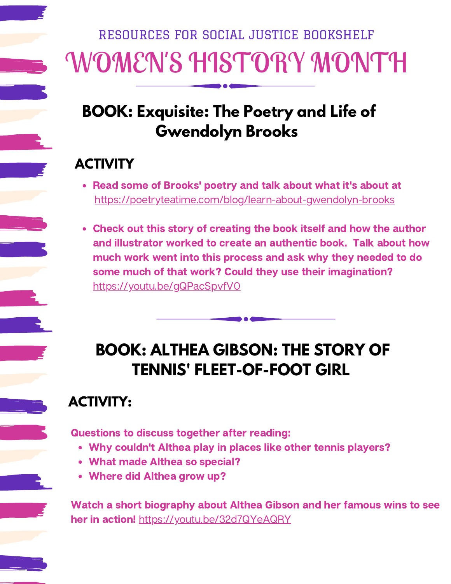# WOMEN'S HISTORY MONTH RESOURCES FOR SOCIAL JUSTICE BOOKSHELF

## **BOOK: Exquisite: The Poetry and Life of Gwendolyn Brooks**

#### **ACTIVITY**

- Read some of Brooks' poetry and talk about what it's about at <https://poetryteatime.com/blog/learn-about-gwendolyn-brooks>
- Check out this story of creating the book itself and how the author and illustrator worked to create an authentic book. Talk about how much work went into this process and ask why they needed to do some much of that work? Could they use their imagination? <https://youtu.be/gQPacSpvfV0>

# **BOOK: ALTHEA GIBSON: THE STORY OF TENNIS' FLEET-OF-FOOT GIRL**

### **ACTIVITY:**

Questions to discuss together after reading:

- Why couldn't Althea play in places like other tennis players?
- What made Althea so special?
- Where did Althea grow up?

Watch a short biography about Althea Gibson and her famous wins to see her in action! <https://youtu.be/32d7QYeAQRY>